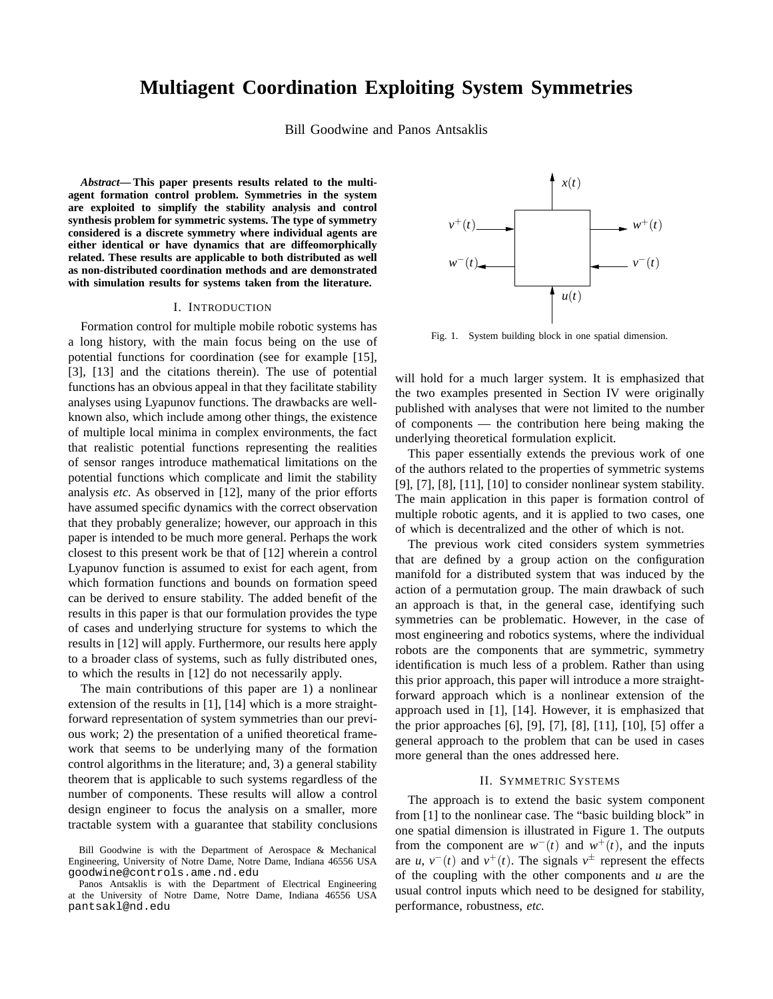# **Multiagent Coordination Exploiting System Symmetries**

Bill Goodwine and Panos Antsaklis

*Abstract***— This paper presents results related to the multiagent formation control problem. Symmetries in the system are exploited to simplify the stability analysis and control synthesis problem for symmetric systems. The type of symmetry considered is a discrete symmetry where individual agents are either identical or have dynamics that are diffeomorphically related. These results are applicable to both distributed as well as non-distributed coordination methods and are demonstrated with simulation results for systems taken from the literature.**

#### I. INTRODUCTION

Formation control for multiple mobile robotic systems has a long history, with the main focus being on the use of potential functions for coordination (see for example [15], [3], [13] and the citations therein). The use of potential functions has an obvious appeal in that they facilitate stability analyses using Lyapunov functions. The drawbacks are wellknown also, which include among other things, the existence of multiple local minima in complex environments, the fact that realistic potential functions representing the realities of sensor ranges introduce mathematical limitations on the potential functions which complicate and limit the stability analysis *etc.* As observed in [12], many of the prior efforts have assumed specific dynamics with the correct observation that they probably generalize; however, our approach in this paper is intended to be much more general. Perhaps the work closest to this present work be that of [12] wherein a control Lyapunov function is assumed to exist for each agent, from which formation functions and bounds on formation speed can be derived to ensure stability. The added benefit of the results in this paper is that our formulation provides the type of cases and underlying structure for systems to which the results in [12] will apply. Furthermore, our results here apply to a broader class of systems, such as fully distributed ones, to which the results in [12] do not necessarily apply.

The main contributions of this paper are 1) a nonlinear extension of the results in [1], [14] which is a more straightforward representation of system symmetries than our previous work; 2) the presentation of a unified theoretical framework that seems to be underlying many of the formation control algorithms in the literature; and, 3) a general stability theorem that is applicable to such systems regardless of the number of components. These results will allow a control design engineer to focus the analysis on a smaller, more tractable system with a guarantee that stability conclusions



Fig. 1. System building block in one spatial dimension.

will hold for a much larger system. It is emphasized that the two examples presented in Section IV were originally published with analyses that were not limited to the number of components — the contribution here being making the underlying theoretical formulation explicit.

This paper essentially extends the previous work of one of the authors related to the properties of symmetric systems [9], [7], [8], [11], [10] to consider nonlinear system stability. The main application in this paper is formation control of multiple robotic agents, and it is applied to two cases, one of which is decentralized and the other of which is not.

The previous work cited considers system symmetries that are defined by a group action on the configuration manifold for a distributed system that was induced by the action of a permutation group. The main drawback of such an approach is that, in the general case, identifying such symmetries can be problematic. However, in the case of most engineering and robotics systems, where the individual robots are the components that are symmetric, symmetry identification is much less of a problem. Rather than using this prior approach, this paper will introduce a more straightforward approach which is a nonlinear extension of the approach used in [1], [14]. However, it is emphasized that the prior approaches [6], [9], [7], [8], [11], [10], [5] offer a general approach to the problem that can be used in cases more general than the ones addressed here.

### II. SYMMETRIC SYSTEMS

The approach is to extend the basic system component from [1] to the nonlinear case. The "basic building block" in one spatial dimension is illustrated in Figure 1. The outputs from the component are  $w^-(t)$  and  $w^+(t)$ , and the inputs are *u*,  $v^-(t)$  and  $v^+(t)$ . The signals  $v^{\pm}$  represent the effects of the coupling with the other components and *u* are the usual control inputs which need to be designed for stability, performance, robustness, *etc.*

Bill Goodwine is with the Department of Aerospace & Mechanical Engineering, University of Notre Dame, Notre Dame, Indiana 46556 USA goodwine@controls.ame.nd.edu

Panos Antsaklis is with the Department of Electrical Engineering at the University of Notre Dame, Notre Dame, Indiana 46556 USA pantsakl@nd.edu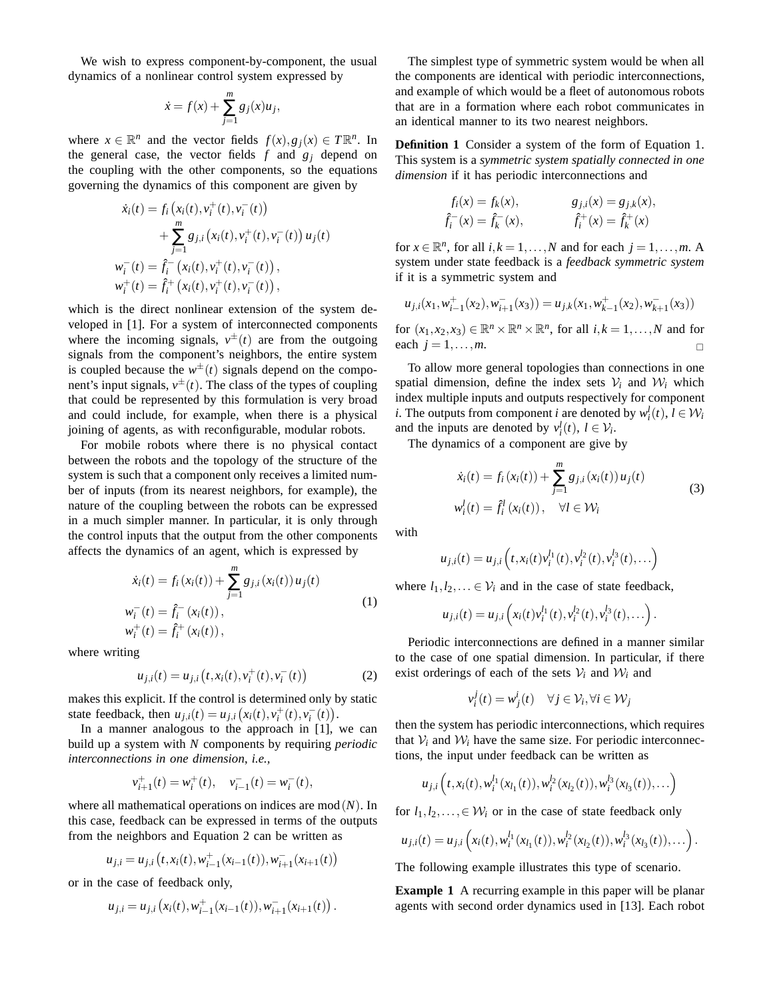We wish to express component-by-component, the usual dynamics of a nonlinear control system expressed by

$$
\dot{x} = f(x) + \sum_{j=1}^{m} g_j(x) u_j,
$$

where  $x \in \mathbb{R}^n$  and the vector fields  $f(x), g_j(x) \in T\mathbb{R}^n$ . In the general case, the vector fields  $f$  and  $g_j$  depend on the coupling with the other components, so the equations governing the dynamics of this component are given by

$$
\dot{x}_i(t) = f_i(x_i(t), v_i^+(t), v_i^-(t)) \n+ \sum_{j=1}^m g_{j,i}(x_i(t), v_i^+(t), v_i^-(t)) u_j(t) \n w_i^-(t) = \hat{f}_i^-(x_i(t), v_i^+(t), v_i^-(t)), \n w_i^+(t) = \hat{f}_i^+(x_i(t), v_i^+(t), v_i^-(t)),
$$

which is the direct nonlinear extension of the system developed in [1]. For a system of interconnected components where the incoming signals,  $v^{\pm}(t)$  are from the outgoing signals from the component's neighbors, the entire system is coupled because the  $w^{\pm}(t)$  signals depend on the component's input signals,  $v^{\pm}(t)$ . The class of the types of coupling that could be represented by this formulation is very broad and could include, for example, when there is a physical joining of agents, as with reconfigurable, modular robots.

For mobile robots where there is no physical contact between the robots and the topology of the structure of the system is such that a component only receives a limited number of inputs (from its nearest neighbors, for example), the nature of the coupling between the robots can be expressed in a much simpler manner. In particular, it is only through the control inputs that the output from the other components affects the dynamics of an agent, which is expressed by

$$
\dot{x}_i(t) = f_i(x_i(t)) + \sum_{j=1}^m g_{j,i}(x_i(t)) u_j(t)
$$
\n
$$
w_i^-(t) = \hat{f}_i^-(x_i(t)),
$$
\n
$$
w_i^+(t) = \hat{f}_i^+(x_i(t)),
$$
\n(1)

where writing

$$
u_{j,i}(t) = u_{j,i}\left(t, x_i(t), v_i^+(t), v_i^-(t)\right) \tag{2}
$$

makes this explicit. If the control is determined only by static state feedback, then  $u_{j,i}(t) = u_{j,i}(x_i(t), v_i^+(t), v_i^-(t)).$ 

In a manner analogous to the approach in [1], we can build up a system with *N* components by requiring *periodic interconnections in one dimension*, *i.e.,*

$$
v_{i+1}^+(t) = w_i^+(t), \quad v_{i-1}^-(t) = w_i^-(t),
$$

where all mathematical operations on indices are mod(*N*). In this case, feedback can be expressed in terms of the outputs from the neighbors and Equation 2 can be written as

$$
u_{j,i} = u_{j,i}\left(t, x_i(t), w_{i-1}^+(x_{i-1}(t)), w_{i+1}^-(x_{i+1}(t)\right)
$$

or in the case of feedback only,

$$
u_{j,i} = u_{j,i} (x_i(t), w_{i-1}^+(x_{i-1}(t)), w_{i+1}^-(x_{i+1}(t)).
$$

The simplest type of symmetric system would be when all the components are identical with periodic interconnections, and example of which would be a fleet of autonomous robots that are in a formation where each robot communicates in an identical manner to its two nearest neighbors.

**Definition 1** Consider a system of the form of Equation 1. This system is a *symmetric system spatially connected in one dimension* if it has periodic interconnections and

$$
f_i(x) = f_k(x), \t\t g_{j,i}(x) = g_{j,k}(x),
$$
  

$$
\hat{f}_i^-(x) = \hat{f}_k^-(x), \t\t \hat{f}_i^+(x) = \hat{f}_k^+(x)
$$

for  $x \in \mathbb{R}^n$ , for all  $i, k = 1, ..., N$  and for each  $j = 1, ..., m$ . A system under state feedback is a *feedback symmetric system* if it is a symmetric system and

$$
u_{j,i}(x_1, w_{i-1}^+(x_2), w_{i+1}^-(x_3)) = u_{j,k}(x_1, w_{k-1}^+(x_2), w_{k+1}^-(x_3))
$$

for  $(x_1, x_2, x_3) \in \mathbb{R}^n \times \mathbb{R}^n \times \mathbb{R}^n$ , for all  $i, k = 1, ..., N$  and for each  $j = 1, \ldots, m$ .

To allow more general topologies than connections in one spatial dimension, define the index sets  $V_i$  and  $W_i$  which index multiple inputs and outputs respectively for component *i*. The outputs from component *i* are denoted by  $w_i^l(t)$ ,  $l \in \mathcal{W}_i$ and the inputs are denoted by  $v_i^l(t)$ ,  $l \in \mathcal{V}_i$ .

The dynamics of a component are give by

$$
\dot{x}_i(t) = f_i(x_i(t)) + \sum_{j=1}^m g_{j,i}(x_i(t)) u_j(t)
$$
\n
$$
w_i^l(t) = \hat{f}_i^l(x_i(t)), \quad \forall l \in \mathcal{W}_i
$$
\n(3)

with

$$
u_{j,i}(t) = u_{j,i}\left(t, x_i(t)v_i^{l_1}(t), v_i^{l_2}(t), v_i^{l_3}(t), \ldots\right)
$$

where  $l_1, l_2, \ldots \in V_i$  and in the case of state feedback,

$$
u_{j,i}(t) = u_{j,i}\left(x_i(t)v_i^{l_1}(t), v_i^{l_2}(t), v_i^{l_3}(t), \ldots\right).
$$

Periodic interconnections are defined in a manner similar to the case of one spatial dimension. In particular, if there exist orderings of each of the sets  $V_i$  and  $W_i$  and

$$
v_i^j(t) = w_j^i(t) \quad \forall j \in \mathcal{V}_i, \forall i \in \mathcal{W}_j
$$

then the system has periodic interconnections, which requires that  $V_i$  and  $W_i$  have the same size. For periodic interconnections, the input under feedback can be written as

$$
u_{j,i}\left(t,x_i(t),w_i^{l_1}(x_{l_1}(t)),w_i^{l_2}(x_{l_2}(t)),w_i^{l_3}(x_{l_3}(t)),\ldots\right)
$$

for  $l_1, l_2, \ldots \in \mathcal{W}_i$  or in the case of state feedback only

$$
u_{j,i}(t) = u_{j,i}\left(x_i(t), w_i^{l_1}(x_{l_1}(t)), w_i^{l_2}(x_{l_2}(t)), w_i^{l_3}(x_{l_3}(t)), \ldots\right).
$$

The following example illustrates this type of scenario.

**Example 1** A recurring example in this paper will be planar agents with second order dynamics used in [13]. Each robot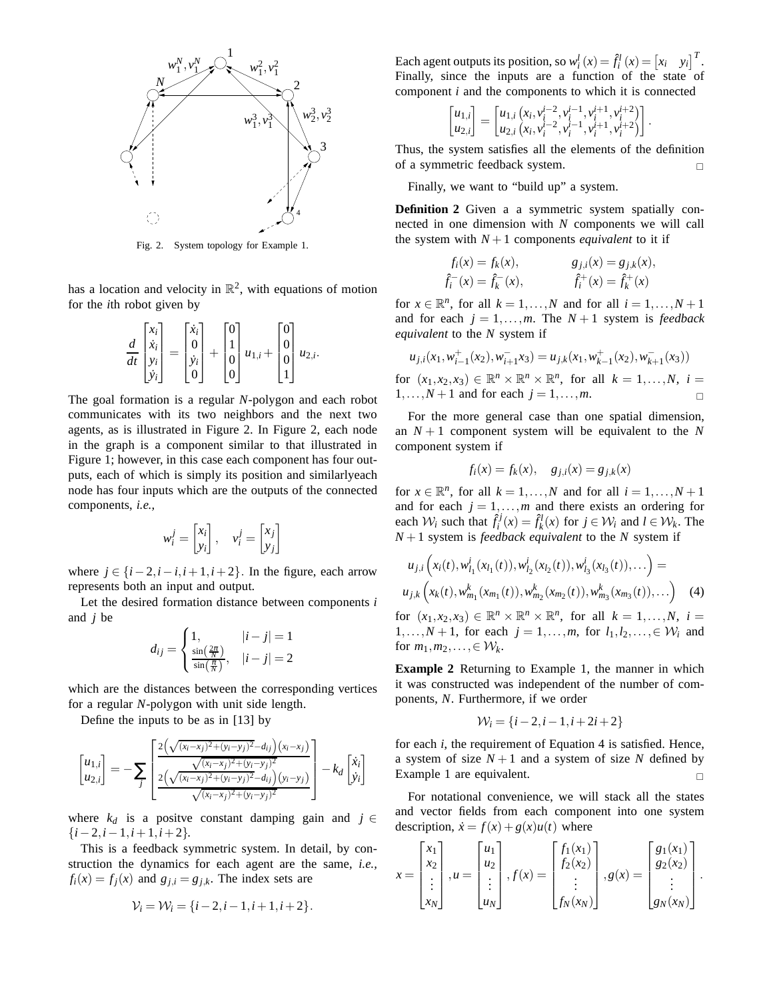

Fig. 2. System topology for Example 1.

has a location and velocity in  $\mathbb{R}^2$ , with equations of motion for the *i*th robot given by

$$
\frac{d}{dt}\begin{bmatrix} x_i \\ \dot{x}_i \\ y_i \\ \dot{y}_i \end{bmatrix} = \begin{bmatrix} \dot{x}_i \\ 0 \\ \dot{y}_i \\ 0 \end{bmatrix} + \begin{bmatrix} 0 \\ 1 \\ 0 \\ 0 \end{bmatrix} u_{1,i} + \begin{bmatrix} 0 \\ 0 \\ 0 \\ 1 \end{bmatrix} u_{2,i}.
$$

The goal formation is a regular *N*-polygon and each robot communicates with its two neighbors and the next two agents, as is illustrated in Figure 2. In Figure 2, each node in the graph is a component similar to that illustrated in Figure 1; however, in this case each component has four outputs, each of which is simply its position and similarlyeach node has four inputs which are the outputs of the connected components, *i.e.,*

$$
w_i^j = \begin{bmatrix} x_i \\ y_i \end{bmatrix}, \quad v_i^j = \begin{bmatrix} x_j \\ y_j \end{bmatrix}
$$

where  $j \in \{i-2, i-i, i+1, i+2\}$ . In the figure, each arrow represents both an input and output.

Let the desired formation distance between components *i* and *j* be

$$
d_{ij} = \begin{cases} 1, & |i - j| = 1\\ \frac{\sin\left(\frac{2\pi}{N}\right)}{\sin\left(\frac{\pi}{N}\right)}, & |i - j| = 2 \end{cases}
$$

which are the distances between the corresponding vertices for a regular *N*-polygon with unit side length.

Define the inputs to be as in [13] by

$$
\begin{bmatrix} u_{1,i} \\ u_{2,i} \end{bmatrix} = -\sum_{j} \begin{bmatrix} \frac{2(\sqrt{(x_i - x_j)^2 + (y_i - y_j)^2} - d_{ij})(x_i - x_j)}{\sqrt{(x_i - x_j)^2 + (y_i - y_j)^2}} \\ \frac{2(\sqrt{(x_i - x_j)^2 + (y_i - y_j)^2} - d_{ij})(y_i - y_j)}{\sqrt{(x_i - x_j)^2 + (y_i - y_j)^2}} \end{bmatrix} - k_d \begin{bmatrix} \dot{x}_i \\ \dot{y}_i \end{bmatrix}
$$

where  $k_d$  is a positve constant damping gain and  $j \in$ {*i*−2,*i*−1,*i*+1,*i*+2}.

This is a feedback symmetric system. In detail, by construction the dynamics for each agent are the same, *i.e.,*  $f_i(x) = f_j(x)$  and  $g_{j,i} = g_{j,k}$ . The index sets are

$$
\mathcal{V}_i = \mathcal{W}_i = \{i-2, i-1, i+1, i+2\}.
$$

Each agent outputs its position, so  $w_i^l(x) = \hat{f}_i^l(x) = [x_i \ y_i]^T$ . Finally, since the inputs are a function of the state of component *i* and the components to which it is connected

$$
\begin{bmatrix} u_{1,i} \\ u_{2,i} \end{bmatrix} = \begin{bmatrix} u_{1,i} (x_i, v_i^{i-2}, v_i^{i-1}, v_i^{i+1}, v_i^{i+2}) \\ u_{2,i} (x_i, v_i^{i-2}, v_i^{i-1}, v_i^{i+1}, v_i^{i+2}) \end{bmatrix}.
$$

Thus, the system satisfies all the elements of the definition of a symmetric feedback system.

Finally, we want to "build up" a system.

**Definition 2** Given a a symmetric system spatially connected in one dimension with *N* components we will call the system with  $N+1$  components *equivalent* to it if

$$
f_i(x) = f_k(x), \t\t g_{j,i}(x) = g_{j,k}(x),
$$
  

$$
\hat{f}_i^-(x) = \hat{f}_k^-(x), \t\t \hat{f}_i^+(x) = \hat{f}_k^+(x)
$$

for  $x \in \mathbb{R}^n$ , for all  $k = 1, ..., N$  and for all  $i = 1, ..., N + 1$ and for each  $j = 1, \ldots, m$ . The  $N + 1$  system is *feedback equivalent* to the *N* system if

$$
u_{j,i}(x_1, w_{i-1}^+(x_2), w_{i+1}^- x_3) = u_{j,k}(x_1, w_{k-1}^+(x_2), w_{k+1}^-(x_3))
$$

for  $(x_1, x_2, x_3) \in \mathbb{R}^n \times \mathbb{R}^n \times \mathbb{R}^n$ , for all  $k = 1, ..., N$ ,  $i =$  $1, \ldots, N+1$  and for each  $j = 1, \ldots, m$ .

For the more general case than one spatial dimension, an  $N+1$  component system will be equivalent to the N component system if

$$
f_i(x) = f_k(x), \quad g_{j,i}(x) = g_{j,k}(x)
$$

for  $x \in \mathbb{R}^n$ , for all  $k = 1, ..., N$  and for all  $i = 1, ..., N + 1$ and for each  $j = 1, \ldots, m$  and there exists an ordering for each  $W_i$  such that  $\hat{f}_i^j(x) = \hat{f}_k^l(x)$  for  $j \in W_i$  and  $l \in W_k$ . The  $N+1$  system is *feedback equivalent* to the *N* system if

$$
u_{j,i}\left(x_i(t), w_{l_1}^i(x_{l_1}(t)), w_{l_2}^i(x_{l_2}(t)), w_{l_3}^i(x_{l_3}(t)), \ldots\right) =
$$
  

$$
u_{j,k}\left(x_k(t), w_{m_1}^k(x_{m_1}(t)), w_{m_2}^k(x_{m_2}(t)), w_{m_3}^k(x_{m_3}(t)), \ldots\right)
$$
 (4)

for  $(x_1, x_2, x_3) \in \mathbb{R}^n \times \mathbb{R}^n \times \mathbb{R}^n$ , for all  $k = 1, ..., N$ ,  $i =$ 1,..., $N+1$ , for each  $j = 1, \ldots, m$ , for  $l_1, l_2, \ldots \in \mathcal{W}_i$  and for  $m_1, m_2, \ldots, \in \mathcal{W}_k$ .

**Example 2** Returning to Example 1, the manner in which it was constructed was independent of the number of components, *N*. Furthermore, if we order

$$
\mathcal{W}_i = \{i-2, i-1, i+2i+2\}
$$

for each *i*, the requirement of Equation 4 is satisfied. Hence, a system of size  $N+1$  and a system of size N defined by Example 1 are equivalent.

For notational convenience, we will stack all the states and vector fields from each component into one system description,  $\dot{x} = f(x) + g(x)u(t)$  where

$$
x = \begin{bmatrix} x_1 \\ x_2 \\ \vdots \\ x_N \end{bmatrix}, u = \begin{bmatrix} u_1 \\ u_2 \\ \vdots \\ u_N \end{bmatrix}, f(x) = \begin{bmatrix} f_1(x_1) \\ f_2(x_2) \\ \vdots \\ f_N(x_N) \end{bmatrix}, g(x) = \begin{bmatrix} g_1(x_1) \\ g_2(x_2) \\ \vdots \\ g_N(x_N) \end{bmatrix}.
$$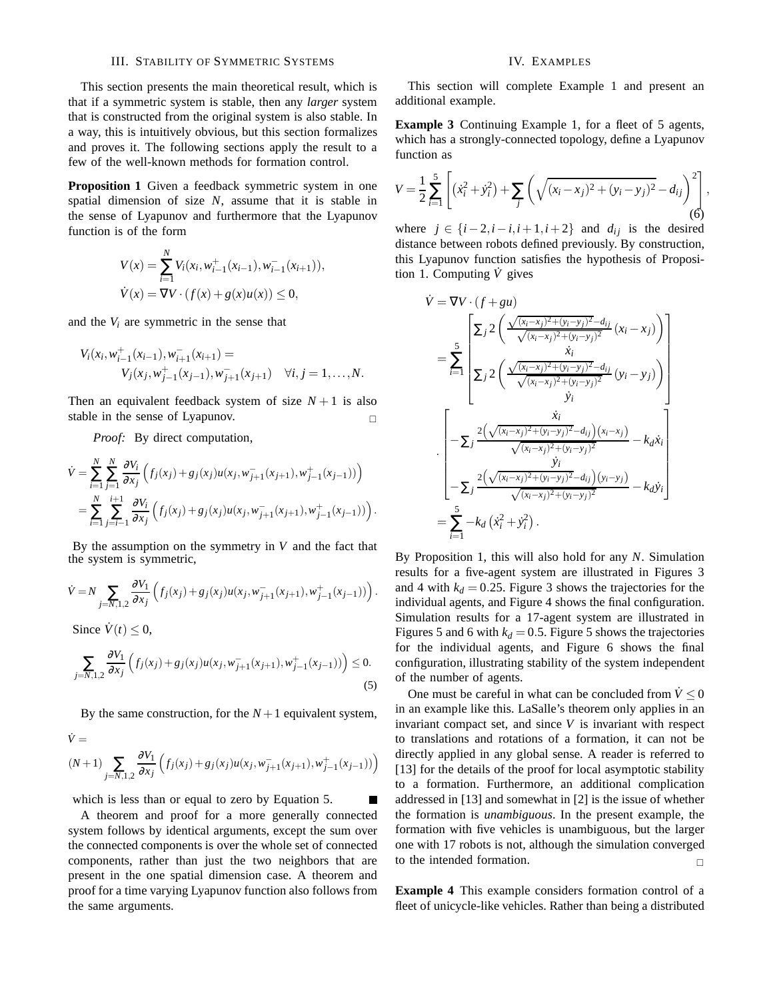### III. STABILITY OF SYMMETRIC SYSTEMS

This section presents the main theoretical result, which is that if a symmetric system is stable, then any *larger* system that is constructed from the original system is also stable. In a way, this is intuitively obvious, but this section formalizes and proves it. The following sections apply the result to a few of the well-known methods for formation control.

**Proposition 1** Given a feedback symmetric system in one spatial dimension of size *N*, assume that it is stable in the sense of Lyapunov and furthermore that the Lyapunov function is of the form

$$
V(x) = \sum_{i=1}^{N} V_i(x_i, w_{i-1}^+(x_{i-1}), w_{i-1}^-(x_{i+1})),
$$
  

$$
\dot{V}(x) = \nabla V \cdot (f(x) + g(x)u(x)) \le 0,
$$

and the  $V_i$  are symmetric in the sense that

$$
V_i(x_i, w_{i-1}^+(x_{i-1}), w_{i+1}^-(x_{i+1}) = V_j(x_j, w_{j-1}^+(x_{j-1}), w_{j+1}^-(x_{j+1}) \quad \forall i, j = 1, ..., N.
$$

Then an equivalent feedback system of size  $N+1$  is also stable in the sense of Lyapunov.

*Proof:* By direct computation,

$$
\dot{V} = \sum_{i=1}^{N} \sum_{j=1}^{N} \frac{\partial V_i}{\partial x_j} \left( f_j(x_j) + g_j(x_j) u(x_j, w_{j+1}^-(x_{j+1}), w_{j-1}^+(x_{j-1})) \right)
$$
  
= 
$$
\sum_{i=1}^{N} \sum_{j=i-1}^{i+1} \frac{\partial V_i}{\partial x_j} \left( f_j(x_j) + g_j(x_j) u(x_j, w_{j+1}^-(x_{j+1}), w_{j-1}^+(x_{j-1})) \right).
$$

By the assumption on the symmetry in *V* and the fact that the system is symmetric,

$$
\dot{V} = N \sum_{j=N,1,2} \frac{\partial V_1}{\partial x_j} \left( f_j(x_j) + g_j(x_j) u(x_j, w_{j+1}^-(x_{j+1}), w_{j-1}^+(x_{j-1})) \right).
$$

Since  $\dot{V}(t) \leq 0$ ,

$$
\sum_{j=N,1,2} \frac{\partial V_1}{\partial x_j} \left( f_j(x_j) + g_j(x_j) u(x_j, w_{j+1}^-(x_{j+1}), w_{j-1}^+(x_{j-1})) \right) \le 0.
$$
\n(5)

By the same construction, for the  $N+1$  equivalent system,

$$
\dot{V} =
$$
\n
$$
(N+1) \sum_{j=N,1,2} \frac{\partial V_1}{\partial x_j} \left( f_j(x_j) + g_j(x_j) u(x_j, w_{j+1}^-(x_{j+1}), w_{j-1}^+(x_{j-1})) \right)
$$

which is less than or equal to zero by Equation 5.

A theorem and proof for a more generally connected system follows by identical arguments, except the sum over the connected components is over the whole set of connected components, rather than just the two neighbors that are present in the one spatial dimension case. A theorem and proof for a time varying Lyapunov function also follows from the same arguments.

## IV. EXAMPLES

This section will complete Example 1 and present an additional example.

**Example 3** Continuing Example 1, for a fleet of 5 agents, which has a strongly-connected topology, define a Lyapunov function as

$$
V = \frac{1}{2} \sum_{i=1}^{5} \left[ \left( \dot{x}_i^2 + \dot{y}_i^2 \right) + \sum_j \left( \sqrt{(x_i - x_j)^2 + (y_i - y_j)^2} - d_{ij} \right)^2 \right],
$$
(6)

where  $j \in \{i-2, i-i, i+1, i+2\}$  and  $d_{ij}$  is the desired distance between robots defined previously. By construction, this Lyapunov function satisfies the hypothesis of Proposition 1. Computing  $\dot{V}$  gives

$$
\dot{V} = \nabla V \cdot (f + gu)
$$
\n
$$
= \sum_{i=1}^{5} \begin{bmatrix}\n\Sigma_j 2\left(\frac{\sqrt{(x_i - x_j)^2 + (y_i - y_j)^2} - d_{ij}}{\sqrt{(x_i - x_j)^2 + (y_i - y_j)^2}} (x_i - x_j)\right) \\
\xi_j 2\left(\frac{\dot{x}_i}{\sqrt{(x_i - x_j)^2 + (y_i - y_j)^2}} (y_i - y_j)\right) \\
\vdots \\
\sum_j 2\left(\frac{\dot{x}_i}{\sqrt{(x_i - x_j)^2 + (y_i - y_j)^2}} (y_i - y_j)\right) \\
\vdots \\
\sum_j \frac{2(\sqrt{(x_i - x_j)^2 + (y_i - y_j)^2} - d_{ij})(x_i - x_j)}{\sqrt{(x_i - x_j)^2 + (y_i - y_j)^2}} - k_d \dot{x}_i \\
-\sum_j \frac{2(\sqrt{(x_i - x_j)^2 + (y_i - y_j)^2} - d_{ij})(y_i - y_j)}{\sqrt{(x_i - x_j)^2 + (y_i - y_j)^2}} - k_d \dot{y}_i\n\end{bmatrix}
$$
\n
$$
= \sum_{i=1}^{5} -k_d (\dot{x}_i^2 + \dot{y}_i^2).
$$

By Proposition 1, this will also hold for any *N*. Simulation results for a five-agent system are illustrated in Figures 3 and 4 with  $k_d = 0.25$ . Figure 3 shows the trajectories for the individual agents, and Figure 4 shows the final configuration. Simulation results for a 17-agent system are illustrated in Figures 5 and 6 with  $k_d = 0.5$ . Figure 5 shows the trajectories for the individual agents, and Figure 6 shows the final configuration, illustrating stability of the system independent of the number of agents.

One must be careful in what can be concluded from  $\dot{V} \le 0$ in an example like this. LaSalle's theorem only applies in an invariant compact set, and since *V* is invariant with respect to translations and rotations of a formation, it can not be directly applied in any global sense. A reader is referred to [13] for the details of the proof for local asymptotic stability to a formation. Furthermore, an additional complication addressed in [13] and somewhat in [2] is the issue of whether the formation is *unambiguous*. In the present example, the formation with five vehicles is unambiguous, but the larger one with 17 robots is not, although the simulation converged to the intended formation.

**Example 4** This example considers formation control of a fleet of unicycle-like vehicles. Rather than being a distributed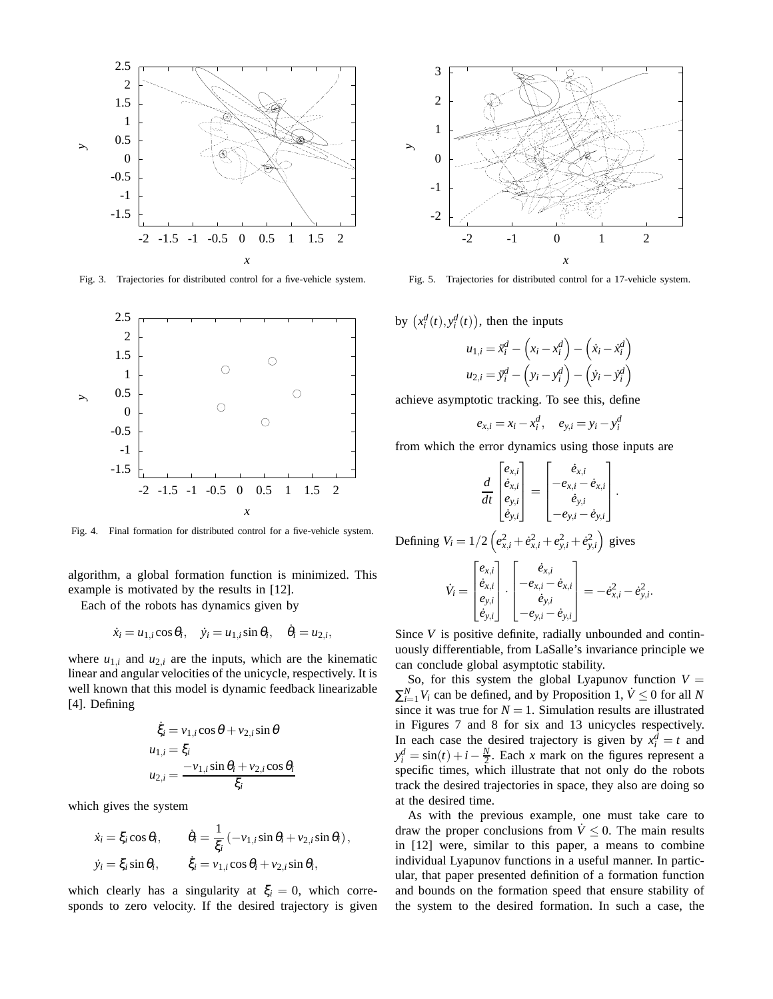

Fig. 3. Trajectories for distributed control for a five-vehicle system.



Fig. 4. Final formation for distributed control for a five-vehicle system.

algorithm, a global formation function is minimized. This example is motivated by the results in [12].

Each of the robots has dynamics given by

$$
\dot{x}_i = u_{1,i} \cos \theta_i, \quad \dot{y}_i = u_{1,i} \sin \theta_i, \quad \dot{\theta}_i = u_{2,i}
$$

,

where  $u_{1,i}$  and  $u_{2,i}$  are the inputs, which are the kinematic linear and angular velocities of the unicycle, respectively. It is well known that this model is dynamic feedback linearizable [4]. Defining

$$
\dot{\xi}_i = v_{1,i} \cos \theta + v_{2,i} \sin \theta
$$
  
\n
$$
u_{1,i} = \xi_i
$$
  
\n
$$
u_{2,i} = \frac{-v_{1,i} \sin \theta_i + v_{2,i} \cos \theta_i}{\xi_i}
$$

which gives the system

$$
\dot{x}_i = \xi_i \cos \theta_i, \qquad \dot{\theta}_i = \frac{1}{\xi_i} \left( -v_{1,i} \sin \theta_i + v_{2,i} \sin \theta_i \right),
$$
  

$$
\dot{y}_i = \xi_i \sin \theta_i, \qquad \dot{\xi}_i = v_{1,i} \cos \theta_i + v_{2,i} \sin \theta_i,
$$

which clearly has a singularity at  $\xi$ <sub>*i*</sub> = 0, which corresponds to zero velocity. If the desired trajectory is given



Fig. 5. Trajectories for distributed control for a 17-vehicle system.

by  $(x_i^d(t), y_i^d(t))$ , then the inputs

$$
u_{1,i} = \ddot{x}_i^d - \left(x_i - x_i^d\right) - \left(\dot{x}_i - \dot{x}_i^d\right)
$$

$$
u_{2,i} = \ddot{y}_i^d - \left(y_i - y_i^d\right) - \left(\dot{y}_i - \dot{y}_i^d\right)
$$

achieve asymptotic tracking. To see this, define

$$
e_{x,i} = x_i - x_i^d
$$
,  $e_{y,i} = y_i - y_i^d$ 

from which the error dynamics using those inputs are

$$
\frac{d}{dt}\begin{bmatrix} e_{x,i} \\ \dot{e}_{x,i} \\ e_{y,i} \\ \dot{e}_{y,i} \end{bmatrix} = \begin{bmatrix} \dot{e}_{x,i} \\ -e_{x,i} - \dot{e}_{x,i} \\ \dot{e}_{y,i} \\ -e_{y,i} - \dot{e}_{y,i} \end{bmatrix}.
$$

Defining  $V_i = 1/2 \left( e_{x,i}^2 + e_{x,i}^2 + e_{y,i}^2 + e_{y,i}^2 \right)$  gives

$$
\dot{V}_i = \begin{bmatrix} e_{x,i} \\ \dot{e}_{x,i} \\ e_{y,i} \\ \dot{e}_{y,i} \end{bmatrix} \cdot \begin{bmatrix} \dot{e}_{x,i} \\ -e_{x,i} - \dot{e}_{x,i} \\ \dot{e}_{y,i} \\ -e_{y,i} - \dot{e}_{y,i} \end{bmatrix} = -\dot{e}_{x,i}^2 - \dot{e}_{y,i}^2.
$$

Since *V* is positive definite, radially unbounded and continuously differentiable, from LaSalle's invariance principle we can conclude global asymptotic stability.

So, for this system the global Lyapunov function  $V =$  $\sum_{i=1}^{N} V_i$  can be defined, and by Proposition 1,  $\dot{V} \le 0$  for all *N* since it was true for  $N = 1$ . Simulation results are illustrated in Figures 7 and 8 for six and 13 unicycles respectively. In each case the desired trajectory is given by  $x_i^d = t$  and  $y_i^d = \sin(t) + i - \frac{N}{2}$ . Each *x* mark on the figures represent a specific times, which illustrate that not only do the robots track the desired trajectories in space, they also are doing so at the desired time.

As with the previous example, one must take care to draw the proper conclusions from  $\dot{V} \leq 0$ . The main results in [12] were, similar to this paper, a means to combine individual Lyapunov functions in a useful manner. In particular, that paper presented definition of a formation function and bounds on the formation speed that ensure stability of the system to the desired formation. In such a case, the